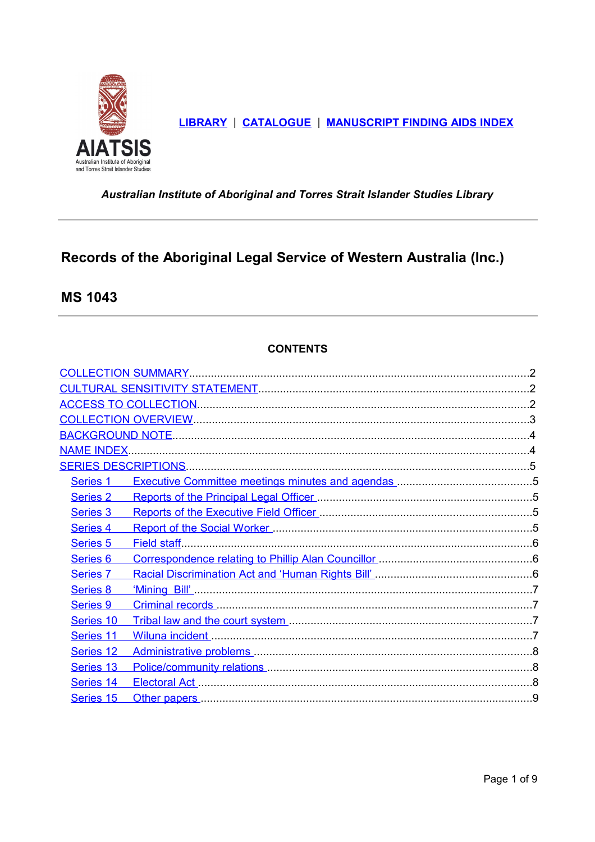<span id="page-0-1"></span>

LIBRARY | CATALOGUE | MANUSCRIPT FINDING AIDS INDEX

<span id="page-0-0"></span>Australian Institute of Aboriginal and Torres Strait Islander Studies Library

# Records of the Aboriginal Legal Service of Western Australia (Inc.)

**MS 1043** 

# **CONTENTS**

| <b>NAME INDEX.</b>  |                                                                                                                 |  |
|---------------------|-----------------------------------------------------------------------------------------------------------------|--|
|                     |                                                                                                                 |  |
| Series <sub>1</sub> |                                                                                                                 |  |
| Series 2            | Reports of the Principal Legal Officer [111] Reports of the Principal Legal Officer [11] Manuscullum Manuscull  |  |
| Series 3            | Reports of the Executive Field Officer [111] Reports of the Executive Field Officer [11] Manuscoversity Reports |  |
| Series 4            | Report of the Social Worker [111] Report of the Social Worker [11] Morker [11] Manuscription (11] Manuscription |  |
| Series <sub>5</sub> |                                                                                                                 |  |
| Series <sub>6</sub> | Correspondence relating to Phillip Alan Councillor [11] [11] Correspondence relating to Phillip Alan Councillor |  |
| Series <sub>7</sub> |                                                                                                                 |  |
| <b>Series 8</b>     |                                                                                                                 |  |
| <b>Series 9</b>     |                                                                                                                 |  |
| Series 10           |                                                                                                                 |  |
| Series 11           |                                                                                                                 |  |
| Series 12           |                                                                                                                 |  |
| Series 13           |                                                                                                                 |  |
| Series 14           |                                                                                                                 |  |
| Series 15           |                                                                                                                 |  |
|                     |                                                                                                                 |  |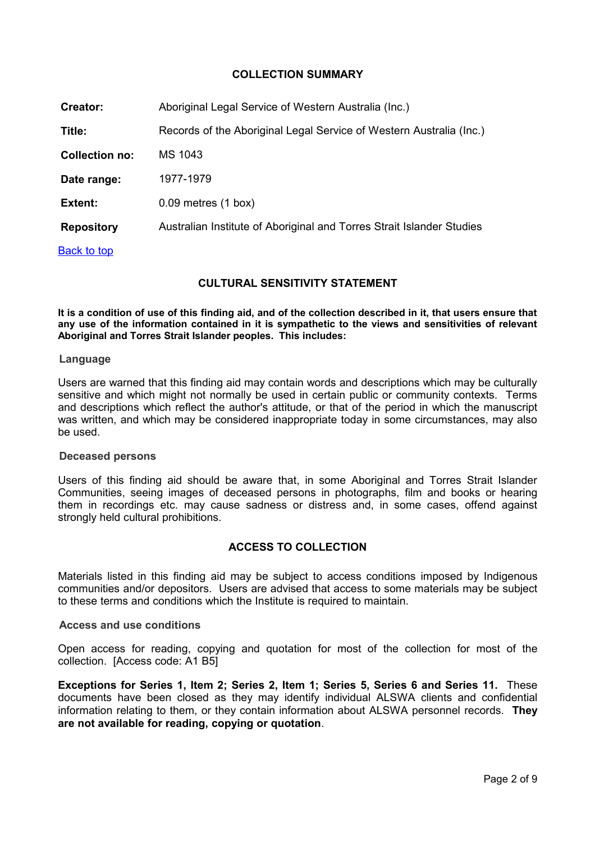# <span id="page-1-2"></span>**COLLECTION SUMMARY**

| Creator:              | Aboriginal Legal Service of Western Australia (Inc.)                  |
|-----------------------|-----------------------------------------------------------------------|
| Title:                | Records of the Aboriginal Legal Service of Western Australia (Inc.)   |
| <b>Collection no:</b> | MS 1043                                                               |
| Date range:           | 1977-1979                                                             |
| <b>Extent:</b>        | $0.09$ metres $(1$ box)                                               |
| <b>Repository</b>     | Australian Institute of Aboriginal and Torres Strait Islander Studies |
| <b>Back to top</b>    |                                                                       |

# <span id="page-1-1"></span>**CULTURAL SENSITIVITY STATEMENT**

**It is a condition of use of this finding aid, and of the collection described in it, that users ensure that any use of the information contained in it is sympathetic to the views and sensitivities of relevant Aboriginal and Torres Strait Islander peoples. This includes:** 

#### **Language**

Users are warned that this finding aid may contain words and descriptions which may be culturally sensitive and which might not normally be used in certain public or community contexts. Terms and descriptions which reflect the author's attitude, or that of the period in which the manuscript was written, and which may be considered inappropriate today in some circumstances, may also be used.

## **Deceased persons**

Users of this finding aid should be aware that, in some Aboriginal and Torres Strait Islander Communities, seeing images of deceased persons in photographs, film and books or hearing them in recordings etc. may cause sadness or distress and, in some cases, offend against strongly held cultural prohibitions.

# <span id="page-1-0"></span>**ACCESS TO COLLECTION**

Materials listed in this finding aid may be subject to access conditions imposed by Indigenous communities and/or depositors. Users are advised that access to some materials may be subject to these terms and conditions which the Institute is required to maintain.

## **Access and use conditions**

Open access for reading, copying and quotation for most of the collection for most of the collection. [Access code: A1 B5]

**Exceptions for Series 1, Item 2; Series 2, Item 1; Series 5, Series 6 and Series 11.** These documents have been closed as they may identify individual ALSWA clients and confidential information relating to them, or they contain information about ALSWA personnel records. **They are not available for reading, copying or quotation**.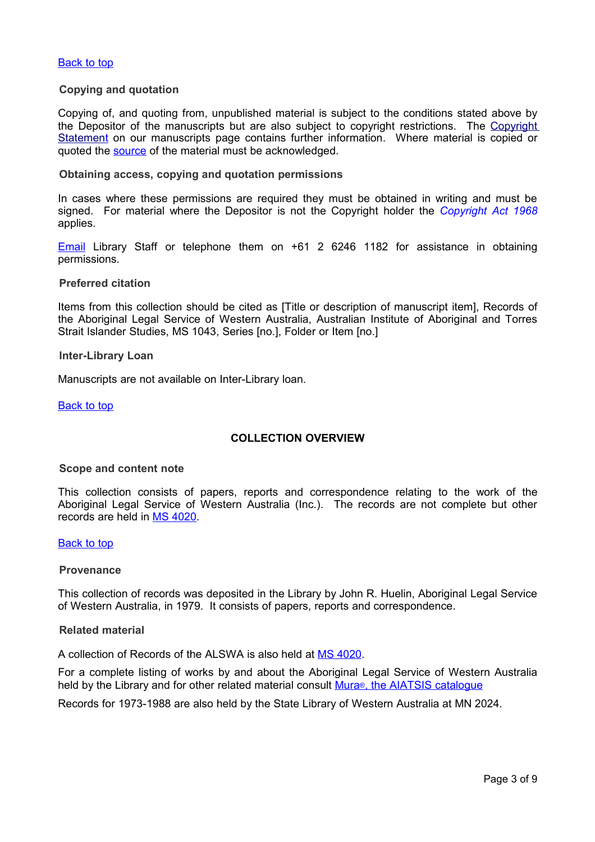## **Copying and quotation**

Copying of, and quoting from, unpublished material is subject to the conditions stated above by the Depositor of the manuscripts but are also subject to copyright restrictions. The [Copyright](http://www.aiatsis.gov.au/library/accessing_the_collections/manuscripts) [Statement](http://www.aiatsis.gov.au/library/accessing_the_collections/manuscripts) on our manuscripts page contains further information. Where material is copied or quoted the [source](#page-0-1) of the material must be acknowledged.

#### **Obtaining access, copying and quotation permissions**

In cases where these permissions are required they must be obtained in writing and must be signed. For material where the Depositor is not the Copyright holder the *[Copyright Act 1968](http://www.austlii.edu.au/au/legis/cth/consol_act/ca1968133/)* applies.

[Email](mailto:library@aiatsis.gov.au) Library Staff or telephone them on +61 2 6246 1182 for assistance in obtaining permissions.

#### **Preferred citation**

Items from this collection should be cited as [Title or description of manuscript item], Records of the Aboriginal Legal Service of Western Australia, Australian Institute of Aboriginal and Torres Strait Islander Studies, MS 1043, Series [no.], Folder or Item [no.]

#### **Inter-Library Loan**

Manuscripts are not available on Inter-Library loan.

[Back to top](#page-0-0)

## <span id="page-2-0"></span>**COLLECTION OVERVIEW**

## **Scope and content note**

This collection consists of papers, reports and correspondence relating to the work of the Aboriginal Legal Service of Western Australia (Inc.). The records are not complete but other records are held in [MS 4020.](http://www.aiatsis.gov.au/__data/assets/pdf_file/9444/MS4020_Aboriginal_Legal.pdf)

#### [Back to top](#page-0-0)

#### **Provenance**

This collection of records was deposited in the Library by John R. Huelin, Aboriginal Legal Service of Western Australia, in 1979. It consists of papers, reports and correspondence.

## **Related material**

A collection of Records of the ALSWA is also held at [MS 4020.](http://www.aiatsis.gov.au/__data/assets/pdf_file/9444/MS4020_Aboriginal_Legal.pdf)

For a complete listing of works by and about the Aboriginal Legal Service of Western Australia held by the Library and for other related material consult Mura<sup>®</sup>, the AIATSIS catalogue

Records for 1973-1988 are also held by the State Library of Western Australia at MN 2024.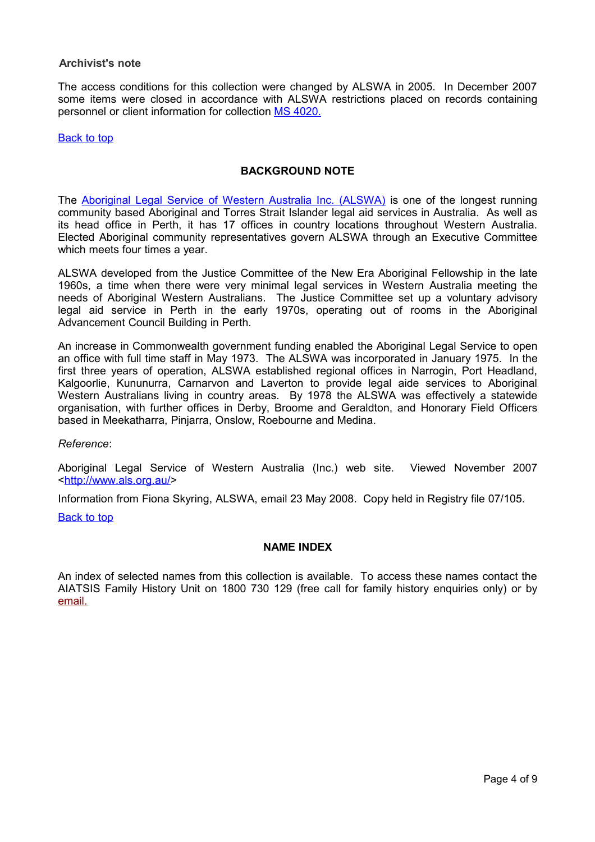## **Archivist's note**

The access conditions for this collection were changed by ALSWA in 2005. In December 2007 some items were closed in accordance with ALSWA restrictions placed on records containing personnel or client information for collection [MS 4020.](http://www.aiatsis.gov.au/__data/assets/pdf_file/9444/MS4020_Aboriginal_Legal.pdf) 

#### [Back to top](#page-0-0)

## <span id="page-3-1"></span>**BACKGROUND NOTE**

The [Aboriginal Legal Service of Western Australia Inc. \(ALSWA\)](http://www.als.org.au/) is one of the longest running community based Aboriginal and Torres Strait Islander legal aid services in Australia. As well as its head office in Perth, it has 17 offices in country locations throughout Western Australia. Elected Aboriginal community representatives govern ALSWA through an Executive Committee which meets four times a year.

ALSWA developed from the Justice Committee of the New Era Aboriginal Fellowship in the late 1960s, a time when there were very minimal legal services in Western Australia meeting the needs of Aboriginal Western Australians. The Justice Committee set up a voluntary advisory legal aid service in Perth in the early 1970s, operating out of rooms in the Aboriginal Advancement Council Building in Perth.

An increase in Commonwealth government funding enabled the Aboriginal Legal Service to open an office with full time staff in May 1973. The ALSWA was incorporated in January 1975. In the first three years of operation, ALSWA established regional offices in Narrogin, Port Headland, Kalgoorlie, Kununurra, Carnarvon and Laverton to provide legal aide services to Aboriginal Western Australians living in country areas. By 1978 the ALSWA was effectively a statewide organisation, with further offices in Derby, Broome and Geraldton, and Honorary Field Officers based in Meekatharra, Pinjarra, Onslow, Roebourne and Medina.

*Reference*:

Aboriginal Legal Service of Western Australia (Inc.) web site. Viewed November 2007 [<http://www.als.org.au/>](http://www.als.org.au/)

Information from Fiona Skyring, ALSWA, email 23 May 2008. Copy held in Registry file 07/105.

**[Back to top](#page-0-0)** 

## <span id="page-3-0"></span>**NAME INDEX**

An index of selected names from this collection is available. To access these names contact the AIATSIS Family History Unit on 1800 730 129 (free call for family history enquiries only) or by [email.](mailto:family@aiatsis.gov.au.?subject=Name%20indiex%20query)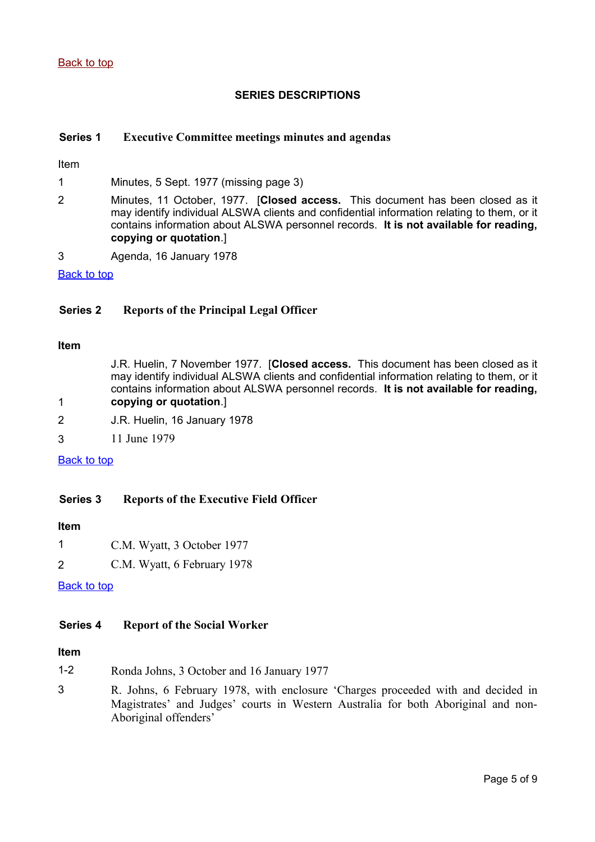# <span id="page-4-4"></span>**SERIES DESCRIPTIONS**

# <span id="page-4-3"></span>**Series 1 Executive Committee meetings minutes and agendas**

Item

1 Minutes, 5 Sept. 1977 (missing page 3)

- 2 Minutes, 11 October, 1977. [**Closed access.** This document has been closed as it may identify individual ALSWA clients and confidential information relating to them, or it contains information about ALSWA personnel records. **It is not available for reading, copying or quotation**.]
- 3 Agenda, 16 January 1978

[Back to top](#page-0-0)

# <span id="page-4-2"></span>**Series 2 Reports of the Principal Legal Officer**

#### **Item**

1

J.R. Huelin, 7 November 1977. [**Closed access.** This document has been closed as it may identify individual ALSWA clients and confidential information relating to them, or it contains information about ALSWA personnel records. **It is not available for reading, copying or quotation**.]

- 2 J.R. Huelin, 16 January 1978
- 3 11 June 1979

## [Back to top](#page-0-0)

# <span id="page-4-1"></span>**Series 3 Reports of the Executive Field Officer**

#### **Item**

- 1 C.M. Wyatt, 3 October 1977
- 2 C.M. Wyatt, 6 February 1978

## **[Back to top](#page-0-0)**

## <span id="page-4-0"></span>**Series 4 Report of the Social Worker**

# **Item**

- 1-2 Ronda Johns, 3 October and 16 January 1977
- 3 R. Johns, 6 February 1978, with enclosure 'Charges proceeded with and decided in Magistrates' and Judges' courts in Western Australia for both Aboriginal and non-Aboriginal offenders'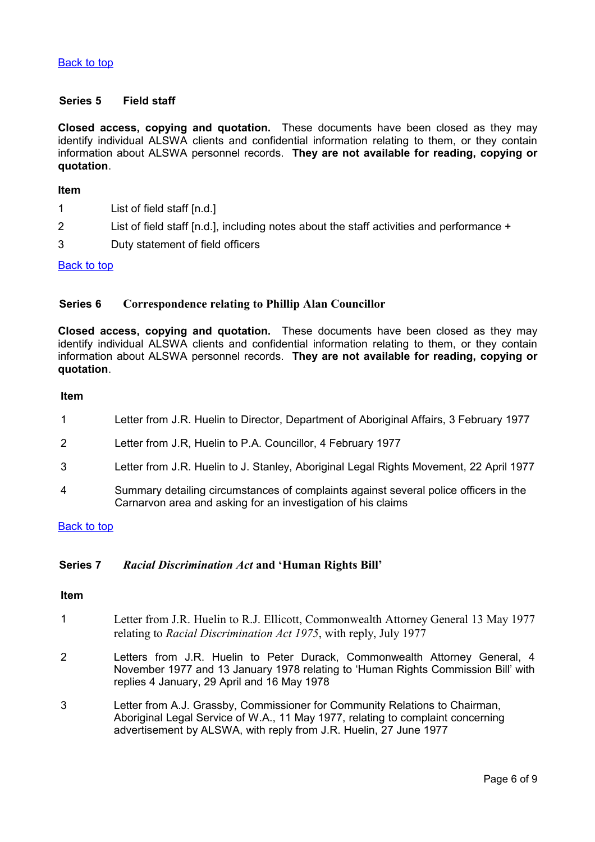## <span id="page-5-2"></span>**Series 5 Field staff**

**Closed access, copying and quotation.** These documents have been closed as they may identify individual ALSWA clients and confidential information relating to them, or they contain information about ALSWA personnel records. **They are not available for reading, copying or quotation**.

#### **Item**

- 1 List of field staff [n.d.]
- 2 List of field staff [n.d.], including notes about the staff activities and performance +
- 3 Duty statement of field officers

## **[Back to top](#page-0-0)**

# <span id="page-5-1"></span>**Series 6 Correspondence relating to Phillip Alan Councillor**

**Closed access, copying and quotation.** These documents have been closed as they may identify individual ALSWA clients and confidential information relating to them, or they contain information about ALSWA personnel records. **They are not available for reading, copying or quotation**.

#### **Item**

- 1 Letter from J.R. Huelin to Director, Department of Aboriginal Affairs, 3 February 1977
- 2 Letter from J.R, Huelin to P.A. Councillor, 4 February 1977
- 3 Letter from J.R. Huelin to J. Stanley, Aboriginal Legal Rights Movement, 22 April 1977
- 4 Summary detailing circumstances of complaints against several police officers in the Carnarvon area and asking for an investigation of his claims

## **[Back to top](#page-0-0)**

## <span id="page-5-0"></span>**Series 7** *Racial Discrimination Act* **and 'Human Rights Bill'**

## **Item**

- 1 Letter from J.R. Huelin to R.J. Ellicott, Commonwealth Attorney General 13 May 1977 relating to *Racial Discrimination Act 1975*, with reply, July 1977
- 2 Letters from J.R. Huelin to Peter Durack, Commonwealth Attorney General, 4 November 1977 and 13 January 1978 relating to 'Human Rights Commission Bill' with replies 4 January, 29 April and 16 May 1978
- 3 Letter from A.J. Grassby, Commissioner for Community Relations to Chairman, Aboriginal Legal Service of W.A., 11 May 1977, relating to complaint concerning advertisement by ALSWA, with reply from J.R. Huelin, 27 June 1977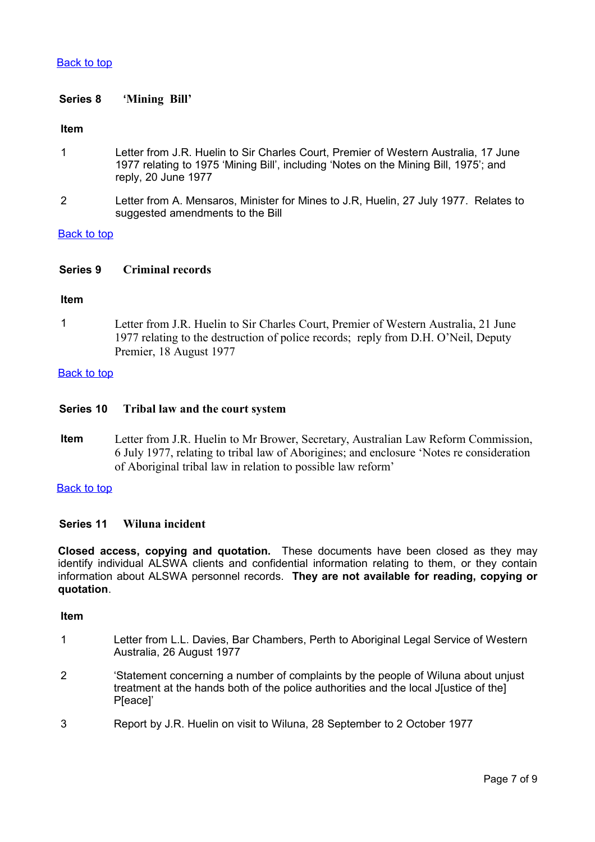# <span id="page-6-3"></span>**Series 8 'Mining Bill'**

## **Item**

- 1 Letter from J.R. Huelin to Sir Charles Court, Premier of Western Australia, 17 June 1977 relating to 1975 'Mining Bill', including 'Notes on the Mining Bill, 1975'; and reply, 20 June 1977
- 2 Letter from A. Mensaros, Minister for Mines to J.R, Huelin, 27 July 1977. Relates to suggested amendments to the Bill

#### **[Back to top](#page-0-0)**

## <span id="page-6-2"></span>**Series 9 Criminal records**

#### **Item**

1 Letter from J.R. Huelin to Sir Charles Court, Premier of Western Australia, 21 June 1977 relating to the destruction of police records; reply from D.H. O'Neil, Deputy Premier, 18 August 1977

#### [Back to top](#page-0-0)

#### <span id="page-6-1"></span>**Series 10 Tribal law and the court system**

**Item** Letter from J.R. Huelin to Mr Brower, Secretary, Australian Law Reform Commission, 6 July 1977, relating to tribal law of Aborigines; and enclosure 'Notes re consideration of Aboriginal tribal law in relation to possible law reform'

## [Back to top](#page-0-0)

# <span id="page-6-0"></span>**Series 11 Wiluna incident**

**Closed access, copying and quotation.** These documents have been closed as they may identify individual ALSWA clients and confidential information relating to them, or they contain information about ALSWA personnel records. **They are not available for reading, copying or quotation**.

#### **Item**

- 1 Letter from L.L. Davies, Bar Chambers, Perth to Aboriginal Legal Service of Western Australia, 26 August 1977
- 2 'Statement concerning a number of complaints by the people of Wiluna about unjust treatment at the hands both of the police authorities and the local J[ustice of the] P[eace]'
- 3 Report by J.R. Huelin on visit to Wiluna, 28 September to 2 October 1977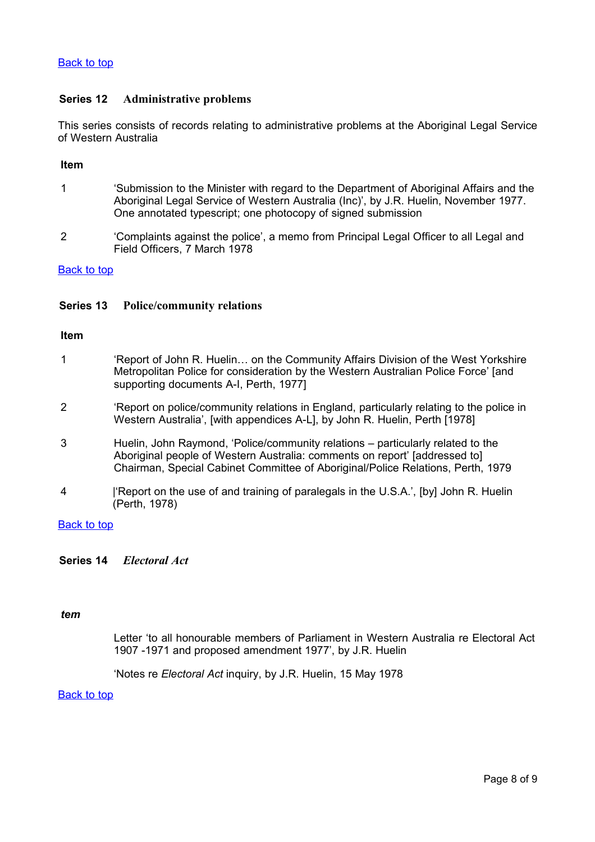# <span id="page-7-2"></span>**Series 12 Administrative problems**

This series consists of records relating to administrative problems at the Aboriginal Legal Service of Western Australia

## **Item**

- 1 'Submission to the Minister with regard to the Department of Aboriginal Affairs and the Aboriginal Legal Service of Western Australia (Inc)', by J.R. Huelin, November 1977. One annotated typescript; one photocopy of signed submission
- 2 'Complaints against the police', a memo from Principal Legal Officer to all Legal and Field Officers, 7 March 1978

# [Back to top](#page-0-0)

# <span id="page-7-1"></span>**Series 13 Police/community relations**

## **Item**

| 'Report of John R. Huelin on the Community Affairs Division of the West Yorkshire  |
|------------------------------------------------------------------------------------|
| Metropolitan Police for consideration by the Western Australian Police Force' [and |
| supporting documents A-I, Perth, 1977]                                             |

- 2 'Report on police/community relations in England, particularly relating to the police in Western Australia', [with appendices A-L], by John R. Huelin, Perth [1978]
- 3 Huelin, John Raymond, 'Police/community relations particularly related to the Aboriginal people of Western Australia: comments on report' [addressed to] Chairman, Special Cabinet Committee of Aboriginal/Police Relations, Perth, 1979
- 4 |'Report on the use of and training of paralegals in the U.S.A.', [by] John R. Huelin (Perth, 1978)

## [Back to top](#page-0-0)

## <span id="page-7-0"></span>**Series 14** *Electoral Act*

## *tem*

Letter 'to all honourable members of Parliament in Western Australia re Electoral Act 1907 -1971 and proposed amendment 1977', by J.R. Huelin

'Notes re *Electoral Act* inquiry, by J.R. Huelin, 15 May 1978

# [Back to top](#page-0-0)